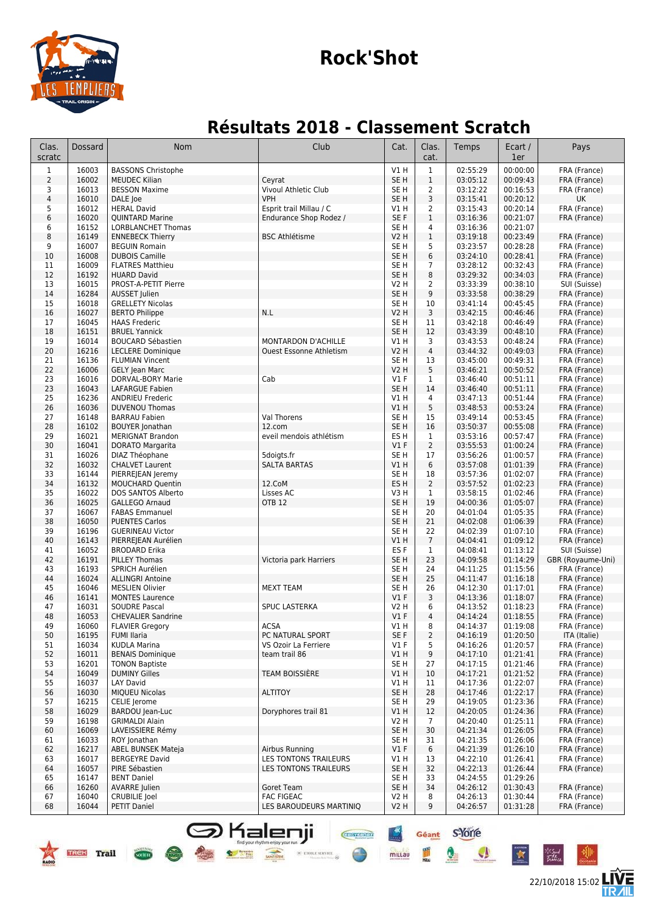

## **Rock'Shot**

## **Résultats 2018 - Classement Scratch**

| Clas.<br>scratc | Dossard        | <b>Nom</b>                                           | Club                                         | Cat.                               | Clas.<br>cat.        | Temps                | Ecart /<br>1er       | Pays                         |
|-----------------|----------------|------------------------------------------------------|----------------------------------------------|------------------------------------|----------------------|----------------------|----------------------|------------------------------|
| $\mathbf{1}$    | 16003          | <b>BASSONS Christophe</b>                            |                                              | V1H                                | $\mathbf{1}$         | 02:55:29             | 00:00:00             | FRA (France)                 |
| $\overline{2}$  | 16002          | <b>MEUDEC Kilian</b>                                 | Ceyrat                                       | SE <sub>H</sub>                    | $\,1$                | 03:05:12             | 00:09:43             | FRA (France)                 |
| 3               | 16013          | <b>BESSON Maxime</b>                                 | Vivoul Athletic Club                         | SE <sub>H</sub>                    | $\overline{2}$       | 03:12:22             | 00:16:53             | FRA (France)                 |
| $\sqrt{4}$      | 16010          | DALE Joe                                             | <b>VPH</b>                                   | SE <sub>H</sub>                    | 3                    | 03:15:41             | 00:20:12             | UK                           |
| 5               | 16012          | <b>HERAL David</b>                                   | Esprit trail Millau / C                      | V1 H                               | 2                    | 03:15:43             | 00:20:14             | FRA (France)                 |
| 6               | 16020<br>16152 | <b>QUINTARD Marine</b>                               | Endurance Shop Rodez /                       | SE F<br>SE <sub>H</sub>            | $\mathbf{1}$<br>4    | 03:16:36             | 00:21:07<br>00:21:07 | FRA (France)                 |
| 6<br>8          | 16149          | <b>LORBLANCHET Thomas</b><br><b>ENNEBECK Thierry</b> | <b>BSC Athlétisme</b>                        | <b>V2 H</b>                        | $\mathbf{1}$         | 03:16:36<br>03:19:18 | 00:23:49             | FRA (France)                 |
| 9               | 16007          | <b>BEGUIN Romain</b>                                 |                                              | SE <sub>H</sub>                    | 5                    | 03:23:57             | 00:28:28             | FRA (France)                 |
| 10              | 16008          | <b>DUBOIS Camille</b>                                |                                              | SE <sub>H</sub>                    | 6                    | 03:24:10             | 00:28:41             | FRA (France)                 |
| 11              | 16009          | <b>FLATRES Matthieu</b>                              |                                              | SE <sub>H</sub>                    | 7                    | 03:28:12             | 00:32:43             | FRA (France)                 |
| 12              | 16192          | <b>HUARD David</b>                                   |                                              | SE <sub>H</sub>                    | 8                    | 03:29:32             | 00:34:03             | FRA (France)                 |
| 13              | 16015          | PROST-A-PETIT Pierre                                 |                                              | V2 H                               | 2                    | 03:33:39             | 00:38:10             | SUI (Suisse)                 |
| 14              | 16284          | <b>AUSSET Julien</b>                                 |                                              | SE <sub>H</sub>                    | 9                    | 03:33:58             | 00:38:29             | FRA (France)                 |
| 15              | 16018          | <b>GRELLETY Nicolas</b>                              |                                              | SE H                               | 10                   | 03:41:14             | 00:45:45             | FRA (France)                 |
| 16<br>17        | 16027<br>16045 | <b>BERTO Philippe</b><br><b>HAAS Frederic</b>        | N.L                                          | <b>V2 H</b><br>SE <sub>H</sub>     | 3<br>11              | 03:42:15<br>03:42:18 | 00:46:46<br>00:46:49 | FRA (France)<br>FRA (France) |
| 18              | 16151          | <b>BRUEL Yannick</b>                                 |                                              | SE <sub>H</sub>                    | 12                   | 03:43:39             | 00:48:10             | FRA (France)                 |
| 19              | 16014          | <b>BOUCARD Sébastien</b>                             | MONTARDON D'ACHILLE                          | V1 H                               | 3                    | 03:43:53             | 00:48:24             | FRA (France)                 |
| 20              | 16216          | <b>LECLERE Dominique</b>                             | <b>Ouest Essonne Athletism</b>               | <b>V2 H</b>                        | $\overline{4}$       | 03:44:32             | 00:49:03             | FRA (France)                 |
| 21              | 16136          | <b>FLUMIAN Vincent</b>                               |                                              | SE <sub>H</sub>                    | 13                   | 03:45:00             | 00:49:31             | FRA (France)                 |
| 22              | 16006          | <b>GELY Jean Marc</b>                                |                                              | <b>V2 H</b>                        | 5                    | 03:46:21             | 00:50:52             | FRA (France)                 |
| 23              | 16016          | DORVAL-BORY Marie                                    | Cab                                          | $VI$ F                             | $\mathbf{1}$         | 03:46:40             | 00:51:11             | FRA (France)                 |
| 23              | 16043          | LAFARGUE Fabien                                      |                                              | SE <sub>H</sub>                    | 14                   | 03:46:40             | 00:51:11             | FRA (France)                 |
| 25              | 16236          | <b>ANDRIEU Frederic</b>                              |                                              | V1 H                               | 4                    | 03:47:13             | 00:51:44             | FRA (France)                 |
| 26              | 16036          | <b>DUVENOU Thomas</b>                                |                                              | V1 H                               | 5                    | 03:48:53             | 00:53:24             | FRA (France)                 |
| 27<br>28        | 16148<br>16102 | <b>BARRAU Fabien</b>                                 | Val Thorens<br>12.com                        | SE <sub>H</sub><br>SE <sub>H</sub> | 15<br>16             | 03:49:14             | 00:53:45<br>00:55:08 | FRA (France)                 |
| 29              | 16021          | <b>BOUYER Jonathan</b><br><b>MERIGNAT Brandon</b>    | eveil mendois athlétism                      | ES <sub>H</sub>                    | $\mathbf{1}$         | 03:50:37<br>03:53:16 | 00:57:47             | FRA (France)<br>FRA (France) |
| 30              | 16041          | <b>DORATO Margarita</b>                              |                                              | $VI$ F                             | $\overline{2}$       | 03:55:53             | 01:00:24             | FRA (France)                 |
| 31              | 16026          | DIAZ Théophane                                       | 5doigts.fr                                   | SE <sub>H</sub>                    | 17                   | 03:56:26             | 01:00:57             | FRA (France)                 |
| 32              | 16032          | <b>CHALVET Laurent</b>                               | <b>SALTA BARTAS</b>                          | VIH                                | 6                    | 03:57:08             | 01:01:39             | FRA (France)                 |
| 33              | 16144          | PIERREJEAN Jeremy                                    |                                              | SE <sub>H</sub>                    | 18                   | 03:57:36             | 01:02:07             | FRA (France)                 |
| 34              | 16132          | <b>MOUCHARD Quentin</b>                              | 12.CoM                                       | ES <sub>H</sub>                    | $\overline{2}$       | 03:57:52             | 01:02:23             | FRA (France)                 |
| 35              | 16022          | DOS SANTOS Alberto                                   | Lisses AC                                    | V3 H                               | $\mathbf{1}$         | 03:58:15             | 01:02:46             | FRA (France)                 |
| 36              | 16025          | GALLEGO Arnaud                                       | OTB 12                                       | SE <sub>H</sub>                    | 19                   | 04:00:36             | 01:05:07             | FRA (France)                 |
| 37              | 16067          | <b>FABAS Emmanuel</b>                                |                                              | SE H                               | 20                   | 04:01:04             | 01:05:35             | FRA (France)                 |
| 38<br>39        | 16050<br>16196 | <b>PUENTES Carlos</b><br><b>GUERINEAU Victor</b>     |                                              | SE <sub>H</sub><br>SE H            | 21<br>22             | 04:02:08<br>04:02:39 | 01:06:39<br>01:07:10 | FRA (France)<br>FRA (France) |
| 40              | 16143          | PIERREJEAN Aurélien                                  |                                              | V1 H                               | $\overline{7}$       | 04:04:41             | 01:09:12             | FRA (France)                 |
| 41              | 16052          | <b>BRODARD Erika</b>                                 |                                              | ES <sub>F</sub>                    | $\mathbf{1}$         | 04:08:41             | 01:13:12             | SUI (Suisse)                 |
| 42              | 16191          | PILLEY Thomas                                        | Victoria park Harriers                       | SE <sub>H</sub>                    | 23                   | 04:09:58             | 01:14:29             | GBR (Royaume-Uni)            |
| 43              | 16193          | SPRICH Aurélien                                      |                                              | SE <sub>H</sub>                    | 24                   | 04:11:25             | 01:15:56             | FRA (France)                 |
| 44              | 16024          | <b>ALLINGRI Antoine</b>                              |                                              | SE <sub>H</sub>                    | 25                   | 04:11:47             | 01:16:18             | FRA (France)                 |
| 45              | 16046          | <b>MESLIEN Olivier</b>                               | <b>MEXT TEAM</b>                             | SE <sub>H</sub>                    | 26                   | 04:12:30             | 01:17:01             | FRA (France)                 |
| 46              | 16141          | <b>MONTES Laurence</b>                               |                                              | $VI$ F                             | 3                    | 04:13:36             | 01:18:07             | FRA (France)                 |
| 47<br>48        | 16031<br>16053 | <b>SOUDRE Pascal</b><br><b>CHEVALIER Sandrine</b>    | SPUC LASTERKA                                | V2 H<br>$VI$ F                     | 6<br>$\overline{4}$  | 04:13:52<br>04:14:24 | 01:18:23<br>01:18:55 | FRA (France)<br>FRA (France) |
| 49              | 16060          | <b>FLAVIER Gregory</b>                               | ACSA                                         | VIH                                | 8                    | 04:14:37             | 01:19:08             | FRA (France)                 |
| 50              | 16195          | FUMI Ilaria                                          | PC NATURAL SPORT                             | SE F                               | $\overline{2}$       | 04:16:19             | 01:20:50             | ITA (Italie)                 |
| 51              | 16034          | <b>KUDLA Marina</b>                                  | VS Ozoir La Ferriere                         | $VI$ F                             | 5                    | 04:16:26             | 01:20:57             | FRA (France)                 |
| 52              | 16011          | <b>BENAIS Dominique</b>                              | team trail 86                                | V1 H                               | 9                    | 04:17:10             | 01:21:41             | FRA (France)                 |
| 53              | 16201          | <b>TONON Baptiste</b>                                |                                              | SE <sub>H</sub>                    | 27                   | 04:17:15             | 01:21:46             | FRA (France)                 |
| 54              | 16049          | <b>DUMINY Gilles</b>                                 | <b>TEAM BOISSIÈRE</b>                        | V1 H                               | 10                   | 04:17:21             | 01:21:52             | FRA (France)                 |
| 55              | 16037          | LAY David                                            |                                              | V1 H                               | 11                   | 04:17:36             | 01:22:07             | FRA (France)                 |
| 56              | 16030          | <b>MIQUEU Nicolas</b>                                | <b>ALTITOY</b>                               | SE <sub>H</sub>                    | 28                   | 04:17:46             | 01:22:17             | FRA (France)                 |
| 57              | 16215          | CELIE Jerome                                         |                                              | SE H                               | 29                   | 04:19:05             | 01:23:36<br>01:24:36 | FRA (France)                 |
| 58<br>59        | 16029<br>16198 | BARDOU Jean-Luc<br><b>GRIMALDI Alain</b>             | Doryphores trail 81                          | V1 H<br>V2 H                       | 12<br>$\overline{7}$ | 04:20:05<br>04:20:40 | 01:25:11             | FRA (France)<br>FRA (France) |
| 60              | 16069          | LAVEISSIERE Rémy                                     |                                              | SE <sub>H</sub>                    | 30                   | 04:21:34             | 01:26:05             | FRA (France)                 |
| 61              | 16033          | ROY Jonathan                                         |                                              | SE H                               | 31                   | 04:21:35             | 01:26:06             | FRA (France)                 |
| 62              | 16217          | ABEL BUNSEK Mateja                                   | Airbus Running                               | $VI$ F                             | 6                    | 04:21:39             | 01:26:10             | FRA (France)                 |
| 63              | 16017          | <b>BERGEYRE David</b>                                | <b>LES TONTONS TRAILEURS</b>                 | V1 H                               | 13                   | 04:22:10             | 01:26:41             | FRA (France)                 |
| 64              | 16057          | PIRE Sébastien                                       | LES TONTONS TRAILEURS                        | SE H                               | 32                   | 04:22:13             | 01:26:44             | FRA (France)                 |
| 65              | 16147          | <b>BENT Daniel</b>                                   |                                              | SE H                               | 33                   | 04:24:55             | 01:29:26             |                              |
| 66              | 16260          | <b>AVARRE</b> Julien                                 | Goret Team                                   | SE <sub>H</sub>                    | 34                   | 04:26:12             | 01:30:43             | FRA (France)                 |
| 67<br>68        | 16040<br>16044 | <b>CRUBILIE</b> Joel<br>PETIT Daniel                 | <b>FAC FIGEAC</b><br>LES BAROUDEURS MARTINIQ | V2 H<br>V2 H                       | 8<br>9               | 04:26:13<br>04:26:57 | 01:30:44<br>01:31:28 | FRA (France)<br>FRA (France) |
|                 |                |                                                      |                                              |                                    |                      |                      |                      |                              |

**Shalenji** 

TREK Trail Com

Geant S-Yorre

millau

⊕

 $\bullet$ 

 $\overline{\mathbf{x}}$ 

22/10/2018 15:02

怎

长知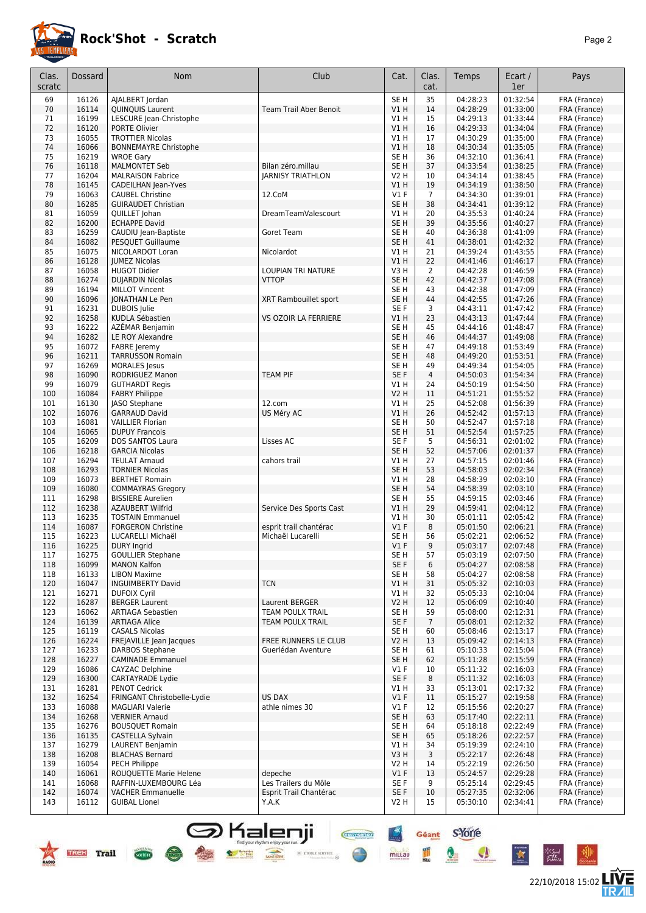

## **Rock'Shot - Scratch** *Page 2*

22/10/2018 15:02 **LIVE** 

| Clas.      | Dossard        | Nom                                                   | Club                               | Cat.                               | Clas.                | Temps                | Ecart /              | Pays                         |
|------------|----------------|-------------------------------------------------------|------------------------------------|------------------------------------|----------------------|----------------------|----------------------|------------------------------|
| scratc     |                |                                                       |                                    |                                    | cat.                 |                      | 1er                  |                              |
| 69         | 16126          | AJALBERT Jordan                                       |                                    | SE <sub>H</sub>                    | 35                   | 04:28:23             | 01:32:54             | FRA (France)                 |
| 70         | 16114          | QUINQUIS Laurent                                      | <b>Team Trail Aber Benoit</b>      | VIH                                | 14                   | 04:28:29             | 01:33:00             | FRA (France)                 |
| 71<br>72   | 16199<br>16120 | LESCURE Jean-Christophe<br>PORTE Olivier              |                                    | V1H<br>VIH                         | 15<br>16             | 04:29:13<br>04:29:33 | 01:33:44<br>01:34:04 | FRA (France)<br>FRA (France) |
| 73         | 16055          | <b>TROTTIER Nicolas</b>                               |                                    | V1 H                               | 17                   | 04:30:29             | 01:35:00             | FRA (France)                 |
| 74         | 16066          | <b>BONNEMAYRE Christophe</b>                          |                                    | VIH                                | 18                   | 04:30:34             | 01:35:05             | FRA (France)                 |
| 75         | 16219          | <b>WROE Gary</b>                                      |                                    | SE H                               | 36                   | 04:32:10             | 01:36:41             | FRA (France)                 |
| 76         | 16118          | <b>MALMONTET Seb</b>                                  | Bilan zéro.millau                  | SE <sub>H</sub>                    | 37                   | 04:33:54             | 01:38:25             | FRA (France)                 |
| 77         | 16204          | <b>MALRAISON Fabrice</b>                              | <b>JARNISY TRIATHLON</b>           | V2 H                               | 10                   | 04:34:14             | 01:38:45             | FRA (France)                 |
| 78<br>79   | 16145<br>16063 | <b>CADEILHAN Jean-Yves</b><br><b>CAUBEL Christine</b> | 12.CoM                             | VIH<br>$VI$ F                      | 19<br>$\overline{7}$ | 04:34:19<br>04:34:30 | 01:38:50<br>01:39:01 | FRA (France)<br>FRA (France) |
| 80         | 16285          | <b>GUIRAUDET Christian</b>                            |                                    | SE H                               | 38                   | 04:34:41             | 01:39:12             | FRA (France)                 |
| 81         | 16059          | QUILLET Johan                                         | DreamTeamValescourt                | V1 H                               | 20                   | 04:35:53             | 01:40:24             | FRA (France)                 |
| 82         | 16200          | <b>ECHAPPE David</b>                                  |                                    | SE <sub>H</sub>                    | 39                   | 04:35:56             | 01:40:27             | FRA (France)                 |
| 83         | 16259          | CAUDIU Jean-Baptiste                                  | Goret Team                         | SE H                               | 40                   | 04:36:38             | 01:41:09             | FRA (France)                 |
| 84         | 16082          | <b>PESQUET Guillaume</b>                              |                                    | SE <sub>H</sub>                    | 41                   | 04:38:01             | 01:42:32             | FRA (France)                 |
| 85<br>86   | 16075<br>16128 | NICOLARDOT Loran<br><b>JUMEZ Nicolas</b>              | Nicolardot                         | V1 H<br>V1 H                       | 21<br>22             | 04:39:24<br>04:41:46 | 01:43:55<br>01:46:17 | FRA (France)<br>FRA (France) |
| 87         | 16058          | <b>HUGOT Didier</b>                                   | LOUPIAN TRI NATURE                 | V3H                                | 2                    | 04:42:28             | 01:46:59             | FRA (France)                 |
| 88         | 16274          | <b>DUJARDIN Nicolas</b>                               | <b>VTTOP</b>                       | SE <sub>H</sub>                    | 42                   | 04:42:37             | 01:47:08             | FRA (France)                 |
| 89         | 16194          | <b>MILLOT Vincent</b>                                 |                                    | SE H                               | 43                   | 04:42:38             | 01:47:09             | FRA (France)                 |
| 90         | 16096          | <b>JONATHAN Le Pen</b>                                | XRT Rambouillet sport              | SE <sub>H</sub>                    | 44                   | 04:42:55             | 01:47:26             | FRA (France)                 |
| 91         | 16231          | DUBOIS Julie                                          |                                    | SE F                               | 3                    | 04:43:11             | 01:47:42             | FRA (France)                 |
| 92         | 16258          | KUDLA Sébastien                                       | VS OZOIR LA FERRIERE               | V1 H                               | 23                   | 04:43:13             | 01:47:44             | FRA (France)                 |
| 93<br>94   | 16222<br>16282 | AZEMAR Benjamin<br>LE ROY Alexandre                   |                                    | SE <sub>H</sub><br>SE <sub>H</sub> | 45<br>46             | 04:44:16<br>04:44:37 | 01:48:47<br>01:49:08 | FRA (France)<br>FRA (France) |
| 95         | 16072          | <b>FABRE</b> Jeremy                                   |                                    | SE H                               | 47                   | 04:49:18             | 01:53:49             | FRA (France)                 |
| 96         | 16211          | <b>TARRUSSON Romain</b>                               |                                    | SE <sub>H</sub>                    | 48                   | 04:49:20             | 01:53:51             | FRA (France)                 |
| 97         | 16269          | <b>MORALES</b> Jesus                                  |                                    | SE H                               | 49                   | 04:49:34             | 01:54:05             | FRA (France)                 |
| 98         | 16090          | RODRIGUEZ Manon                                       | <b>TEAM PIF</b>                    | SE F                               | $\overline{4}$       | 04:50:03             | 01:54:34             | FRA (France)                 |
| 99         | 16079          | <b>GUTHARDT Regis</b>                                 |                                    | V1 H                               | 24                   | 04:50:19             | 01:54:50             | FRA (France)                 |
| 100        | 16084          | <b>FABRY Philippe</b>                                 |                                    | V2 H                               | 11                   | 04:51:21             | 01:55:52             | FRA (France)                 |
| 101<br>102 | 16130<br>16076 | JASO Stephane<br><b>GARRAUD David</b>                 | 12.com<br>US Méry AC               | V1 H<br>V1 H                       | 25<br>26             | 04:52:08<br>04:52:42 | 01:56:39<br>01:57:13 | FRA (France)<br>FRA (France) |
| 103        | 16081          | <b>VAILLIER Florian</b>                               |                                    | SE H                               | 50                   | 04:52:47             | 01:57:18             | FRA (France)                 |
| 104        | 16065          | <b>DUPUY Francois</b>                                 |                                    | SE <sub>H</sub>                    | 51                   | 04:52:54             | 01:57:25             | FRA (France)                 |
| 105        | 16209          | DOS SANTOS Laura                                      | Lisses AC                          | SE F                               | 5                    | 04:56:31             | 02:01:02             | FRA (France)                 |
| 106        | 16218          | <b>GARCIA Nicolas</b>                                 |                                    | SE H                               | 52                   | 04:57:06             | 02:01:37             | FRA (France)                 |
| 107        | 16294          | <b>TEULAT Arnaud</b>                                  | cahors trail                       | V1 H                               | 27                   | 04:57:15             | 02:01:46             | FRA (France)                 |
| 108<br>109 | 16293<br>16073 | <b>TORNIER Nicolas</b><br><b>BERTHET Romain</b>       |                                    | SE <sub>H</sub><br>V1 H            | 53<br>28             | 04:58:03<br>04:58:39 | 02:02:34<br>02:03:10 | FRA (France)<br>FRA (France) |
| 109        | 16080          | <b>COMMAYRAS Gregory</b>                              |                                    | SE <sub>H</sub>                    | 54                   | 04:58:39             | 02:03:10             | FRA (France)                 |
| 111        | 16298          | <b>BISSIERE Aurelien</b>                              |                                    | SE H                               | 55                   | 04:59:15             | 02:03:46             | FRA (France)                 |
| 112        | 16238          | <b>AZAUBERT Wilfrid</b>                               | Service Des Sports Cast            | V1 H                               | 29                   | 04:59:41             | 02:04:12             | FRA (France)                 |
| 113        | 16235          | <b>TOSTAIN Emmanuel</b>                               |                                    | V1 H                               | 30                   | 05:01:11             | 02:05:42             | FRA (France)                 |
| 114        | 16087          | <b>FORGERON Christine</b>                             | esprit trail chantérac             | $VI$ F                             | 8                    | 05:01:50             | 02:06:21             | FRA (France)                 |
| 115<br>116 | 16223          | LUCARELLI Michaël<br><b>DURY Ingrid</b>               | Michaël Lucarelli                  | SE H<br>$VI$ F                     | 56<br>9              | 05:02:21<br>05:03:17 | 02:06:52<br>02:07:48 | FRA (France)<br>FRA (France) |
| 117        | 16225<br>16275 | <b>GOULLIER Stephane</b>                              |                                    | SE <sub>H</sub>                    | 57                   | 05:03:19             | 02:07:50             | FRA (France)                 |
| 118        | 16099          | <b>MANON Kalfon</b>                                   |                                    | SE F                               | 6                    | 05:04:27             | 02:08:58             | FRA (France)                 |
| 118        | 16133          | <b>LIBON Maxime</b>                                   |                                    | SE H                               | 58                   | 05:04:27             | 02:08:58             | FRA (France)                 |
| 120        | 16047          | <b>INGUIMBERTY David</b>                              | <b>TCN</b>                         | V1 H                               | 31                   | 05:05:32             | 02:10:03             | FRA (France)                 |
| 121        | 16271          | <b>DUFOIX Cyril</b>                                   |                                    | V1 H                               | 32                   | 05:05:33             | 02:10:04             | FRA (France)                 |
| 122<br>123 | 16287<br>16062 | <b>BERGER Laurent</b><br><b>ARTIAGA Sebastien</b>     | Laurent BERGER<br>TEAM POULX TRAIL | V2 H<br>SE H                       | 12<br>59             | 05:06:09<br>05:08:00 | 02:10:40<br>02:12:31 | FRA (France)<br>FRA (France) |
| 124        | 16139          | <b>ARTIAGA Alice</b>                                  | TEAM POULX TRAIL                   | SE F                               | $\overline{7}$       | 05:08:01             | 02:12:32             | FRA (France)                 |
| 125        | 16119          | <b>CASALS Nicolas</b>                                 |                                    | SE H                               | 60                   | 05:08:46             | 02:13:17             | FRA (France)                 |
| 126        | 16224          | FREJAVILLE Jean Jacques                               | FREE RUNNERS LE CLUB               | V2 H                               | 13                   | 05:09:42             | 02:14:13             | FRA (France)                 |
| 127        | 16233          | DARBOS Stephane                                       | Guerlédan Aventure                 | SE H                               | 61                   | 05:10:33             | 02:15:04             | FRA (France)                 |
| 128        | 16227          | <b>CAMINADE Emmanuel</b>                              |                                    | SE H                               | 62                   | 05:11:28             | 02:15:59             | FRA (France)                 |
| 129        | 16086          | <b>CAYZAC Delphine</b>                                |                                    | $VI$ F                             | 10                   | 05:11:32             | 02:16:03             | FRA (France)                 |
| 129<br>131 | 16300<br>16281 | <b>CARTAYRADE Lydie</b>                               |                                    | SE F                               | 8                    | 05:11:32<br>05:13:01 | 02:16:03<br>02:17:32 | FRA (France)<br>FRA (France) |
| 132        | 16254          | <b>PENOT Cedrick</b><br>FRINGANT Christobelle-Lydie   | <b>US DAX</b>                      | V1 H<br>$VI$ F                     | 33<br>11             | 05:15:27             | 02:19:58             | FRA (France)                 |
| 133        | 16088          | <b>MAGLIARI Valerie</b>                               | athle nimes 30                     | $VI$ F                             | 12                   | 05:15:56             | 02:20:27             | FRA (France)                 |
| 134        | 16268          | <b>VERNIER Arnaud</b>                                 |                                    | SE H                               | 63                   | 05:17:40             | 02:22:11             | FRA (France)                 |
| 135        | 16276          | <b>BOUSQUET Romain</b>                                |                                    | SE H                               | 64                   | 05:18:18             | 02:22:49             | FRA (France)                 |
| 136        | 16135          | CASTELLA Sylvain                                      |                                    | SE H                               | 65                   | 05:18:26             | 02:22:57             | FRA (France)                 |
| 137        | 16279          | LAURENT Benjamin                                      |                                    | V1 H                               | 34                   | 05:19:39             | 02:24:10             | FRA (France)                 |
| 138<br>139 | 16208<br>16054 | <b>BLACHAS Bernard</b><br>PECH Philippe               |                                    | V3H<br>V2 H                        | 3<br>14              | 05:22:17<br>05:22:19 | 02:26:48<br>02:26:50 | FRA (France)<br>FRA (France) |
| 140        | 16061          | ROUQUETTE Marie Helene                                | depeche                            | $VI$ F                             | 13                   | 05:24:57             | 02:29:28             | FRA (France)                 |
| 141        | 16068          | RAFFIN-LUXEMBOURG Léa                                 | Les Trailers du Môle               | SE F                               | 9                    | 05:25:14             | 02:29:45             | FRA (France)                 |
| 142        | 16074          | <b>VACHER Emmanuelle</b>                              | Esprit Trail Chantérac             | SE F                               | 10                   | 05:27:35             | 02:32:06             | FRA (France)                 |
| 143        | 16112          | <b>GUIBAL Lionel</b>                                  | Y.A.K                              | V2 H                               | 15                   | 05:30:10             | 02:34:41             | FRA (France)                 |

S Kalenji

Géant S'Yorre

 $\mathbf{Q}$ 

 $\bullet$ 

 $\mathbf{\hat{z}}$ 

°∕″

 $\frac{m}{m}$ 

mittau



**COCHETE**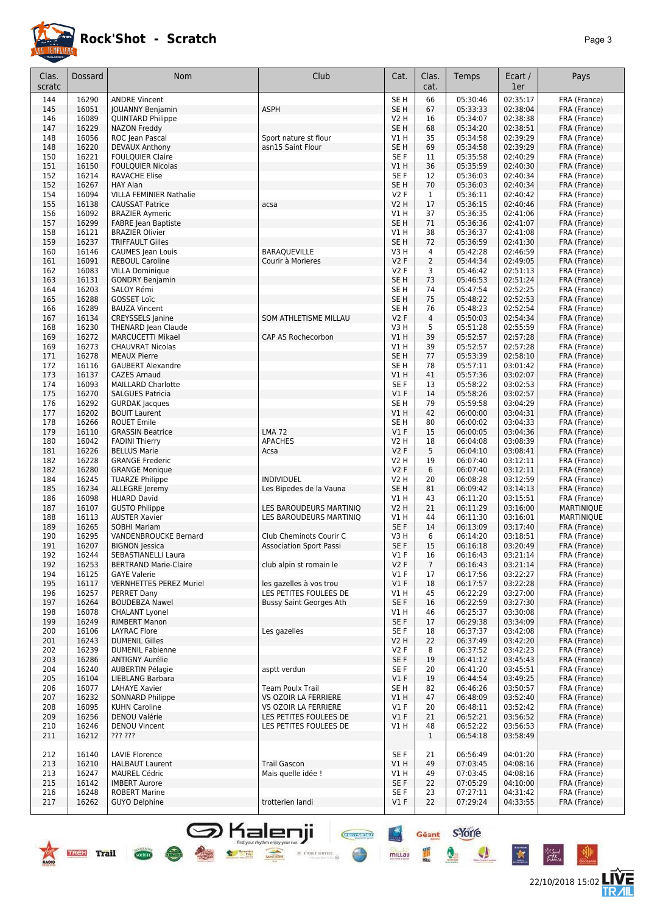

## **Rock'Shot - Scratch** *Page 3*

22/10/2018 15:02 **LIVE** 

 $\bullet$ 

女

°∕″

 $\bullet$ 

| Clas.<br>scratc | Dossard        | <b>Nom</b>                                        | Club                                             | Cat.                               | Clas.<br>cat.        | Temps                | Ecart /<br>1er       | Pays                         |
|-----------------|----------------|---------------------------------------------------|--------------------------------------------------|------------------------------------|----------------------|----------------------|----------------------|------------------------------|
|                 |                |                                                   |                                                  |                                    |                      |                      |                      |                              |
| 144<br>145      | 16290<br>16051 | <b>ANDRE Vincent</b><br><b>JOUANNY Benjamin</b>   | ASPH                                             | SE <sub>H</sub><br>SE <sub>H</sub> | 66<br>67             | 05:30:46<br>05:33:33 | 02:35:17<br>02:38:04 | FRA (France)<br>FRA (France) |
| 146             | 16089          | <b>QUINTARD Philippe</b>                          |                                                  | <b>V2 H</b>                        | 16                   | 05:34:07             | 02:38:38             | FRA (France)                 |
| 147             | 16229          | NAZON Freddy                                      |                                                  | SE <sub>H</sub>                    | 68                   | 05:34:20             | 02:38:51             | FRA (France)                 |
| 148             | 16056          | ROC Jean Pascal                                   | Sport nature st flour                            | V1 H                               | 35                   | 05:34:58             | 02:39:29             | FRA (France)                 |
| 148             | 16220          | <b>DEVAUX Anthony</b>                             | asn15 Saint Flour                                | SE <sub>H</sub>                    | 69                   | 05:34:58             | 02:39:29             | FRA (France)                 |
| 150             | 16221          | <b>FOULQUIER Claire</b>                           |                                                  | SE <sub>F</sub>                    | 11                   | 05:35:58             | 02:40:29             | FRA (France)                 |
| 151             | 16150          | <b>FOULQUIER Nicolas</b>                          |                                                  | VIH                                | 36                   | 05:35:59             | 02:40:30             | FRA (France)                 |
| 152             | 16214          | <b>RAVACHE Elise</b>                              |                                                  | SE F                               | 12                   | 05:36:03             | 02:40:34             | FRA (France)                 |
| 152             | 16267          | <b>HAY Alan</b>                                   |                                                  | SE <sub>H</sub>                    | 70                   | 05:36:03             | 02:40:34             | FRA (France)                 |
| 154             | 16094          | <b>VILLA FEMINIER Nathalie</b>                    |                                                  | <b>V2F</b>                         | $\mathbf{1}$         | 05:36:11             | 02:40:42             | FRA (France)                 |
| 155             | 16138          | <b>CAUSSAT Patrice</b>                            | acsa                                             | <b>V2 H</b>                        | 17                   | 05:36:15             | 02:40:46             | FRA (France)                 |
| 156             | 16092          | <b>BRAZIER Aymeric</b>                            |                                                  | V1H                                | 37                   | 05:36:35             | 02:41:06             | FRA (France)                 |
| 157             | 16299          | <b>FABRE</b> Jean Baptiste                        |                                                  | SE <sub>H</sub>                    | 71<br>38             | 05:36:36             | 02:41:07             | FRA (France)                 |
| 158<br>159      | 16121<br>16237 | <b>BRAZIER Olivier</b><br><b>TRIFFAULT Gilles</b> |                                                  | V1 H<br>SE H                       | 72                   | 05:36:37<br>05:36:59 | 02:41:08<br>02:41:30 | FRA (France)<br>FRA (France) |
| 160             | 16146          | <b>CAUMES</b> Jean Louis                          | BARAQUEVILLE                                     | V3H                                | 4                    | 05:42:28             | 02:46:59             | FRA (France)                 |
| 161             | 16091          | <b>REBOUL Caroline</b>                            | Courir à Morieres                                | <b>V2F</b>                         | $\overline{2}$       | 05:44:34             | 02:49:05             | FRA (France)                 |
| 162             | 16083          | <b>VILLA Dominique</b>                            |                                                  | V2F                                | 3                    | 05:46:42             | 02:51:13             | FRA (France)                 |
| 163             | 16131          | <b>GONDRY Benjamin</b>                            |                                                  | SE H                               | 73                   | 05:46:53             | 02:51:24             | FRA (France)                 |
| 164             | 16203          | SALOY Rémi                                        |                                                  | SE <sub>H</sub>                    | 74                   | 05:47:54             | 02:52:25             | FRA (France)                 |
| 165             | 16288          | <b>GOSSET Loïc</b>                                |                                                  | SE <sub>H</sub>                    | 75                   | 05:48:22             | 02:52:53             | FRA (France)                 |
| 166             | 16289          | <b>BAUZA Vincent</b>                              |                                                  | SE <sub>H</sub>                    | 76                   | 05:48:23             | 02:52:54             | FRA (France)                 |
| 167             | 16134          | <b>CREYSSELS Janine</b>                           | SOM ATHLETISME MILLAU                            | V2F                                | 4                    | 05:50:03             | 02:54:34             | FRA (France)                 |
| 168             | 16230          | THENARD Jean Claude                               |                                                  | V3H                                | 5                    | 05:51:28             | 02:55:59             | FRA (France)                 |
| 169             | 16272          | <b>MARCUCETTI Mikael</b>                          | CAP AS Rochecorbon                               | VIH                                | 39                   | 05:52:57             | 02:57:28             | FRA (France)                 |
| 169             | 16273          | <b>CHAUVRAT Nicolas</b>                           |                                                  | V1 H                               | 39                   | 05:52:57             | 02:57:28             | FRA (France)                 |
| 171             | 16278          | <b>MEAUX Pierre</b>                               |                                                  | SE <sub>H</sub>                    | 77                   | 05:53:39             | 02:58:10             | FRA (France)                 |
| 172             | 16116          | <b>GAUBERT Alexandre</b>                          |                                                  | SE <sub>H</sub>                    | 78                   | 05:57:11             | 03:01:42             | FRA (France)                 |
| 173             | 16137          | <b>CAZES Arnaud</b>                               |                                                  | VIH                                | 41                   | 05:57:36             | 03:02:07             | FRA (France)                 |
| 174             | 16093          | MAILLARD Charlotte                                |                                                  | SE F                               | 13                   | 05:58:22             | 03:02:53             | FRA (France)                 |
| 175             | 16270          | <b>SALGUES Patricia</b>                           |                                                  | V1F                                | 14                   | 05:58:26             | 03:02:57             | FRA (France)                 |
| 176<br>177      | 16292<br>16202 | <b>GURDAK Jacques</b><br><b>BOUIT Laurent</b>     |                                                  | SE <sub>H</sub><br>VIH             | 79<br>42             | 05:59:58<br>06:00:00 | 03:04:29<br>03:04:31 | FRA (France)<br>FRA (France) |
| 178             | 16266          | <b>ROUET Emile</b>                                |                                                  | SE <sub>H</sub>                    | 80                   | 06:00:02             | 03:04:33             | FRA (France)                 |
| 179             | 16110          | <b>GRASSIN Beatrice</b>                           | <b>LMA 72</b>                                    | V1F                                | 15                   | 06:00:05             | 03:04:36             | FRA (France)                 |
| 180             | 16042          | <b>FADINI Thierry</b>                             | <b>APACHES</b>                                   | <b>V2 H</b>                        | 18                   | 06:04:08             | 03:08:39             | FRA (France)                 |
| 181             | 16226          | <b>BELLUS Marie</b>                               | Acsa                                             | <b>V2F</b>                         | 5                    | 06:04:10             | 03:08:41             | FRA (France)                 |
| 182             | 16228          | <b>GRANGE Frederic</b>                            |                                                  | <b>V2 H</b>                        | 19                   | 06:07:40             | 03:12:11             | FRA (France)                 |
| 182             | 16280          | <b>GRANGE Monique</b>                             |                                                  | <b>V2F</b>                         | 6                    | 06:07:40             | 03:12:11             | FRA (France)                 |
| 184             | 16245          | <b>TUARZE Philippe</b>                            | <b>INDIVIDUEL</b>                                | V <sub>2</sub> H                   | 20                   | 06:08:28             | 03:12:59             | FRA (France)                 |
| 185             | 16234          | <b>ALLEGRE</b> Jeremy                             | Les Bipedes de la Vauna                          | SE H                               | 81                   | 06:09:42             | 03:14:13             | FRA (France)                 |
| 186             | 16098          | <b>HUARD David</b>                                |                                                  | V1 H                               | 43                   | 06:11:20             | 03:15:51             | FRA (France)                 |
| 187             | 16107          | <b>GUSTO Philippe</b>                             | LES BAROUDEURS MARTINIQ                          | <b>V2 H</b>                        | 21                   | 06:11:29             | 03:16:00             | MARTINIQUE                   |
| 188             | 16113          | <b>AUSTER Xavier</b>                              | LES BAROUDEURS MARTINIQ                          | V1 H                               | 44                   | 06:11:30             | 03:16:01             | <b>MARTINIQUE</b>            |
| 189             | 16265          | <b>SOBHI Mariam</b>                               |                                                  | SE F                               | 14                   | 06:13:09             | 03:17:40             | FRA (France)                 |
| 190             | 16295          | VANDENBROUCKE Bernard                             | Club Cheminots Courir C                          | V3H                                | 6                    | 06:14:20             | 03:18:51             | FRA (France)                 |
| 191             | 16207          | <b>BIGNON Jessica</b><br>SEBASTIANELLI Laura      | <b>Association Sport Passi</b>                   | SE F                               | 15                   | 06:16:18             | 03:20:49             | FRA (France)                 |
| 192<br>192      | 16244<br>16253 | <b>BERTRAND Marie-Claire</b>                      | club alpin st romain le                          | $VI$ F<br>V2F                      | 16<br>$\overline{7}$ | 06:16:43<br>06:16:43 | 03:21:14<br>03:21:14 | FRA (France)<br>FRA (France) |
| 194             | 16125          | <b>GAYE Valerie</b>                               |                                                  | $VI$ F                             | 17                   | 06:17:56             | 03:22:27             | FRA (France)                 |
| 195             | 16117          | <b>VERNHETTES PEREZ Muriel</b>                    | les gazelles à vos trou                          | $VI$ F                             | 18                   | 06:17:57             | 03:22:28             | FRA (France)                 |
| 196             | 16257          | PERRET Dany                                       | LES PETITES FOULEES DE                           | V1 H                               | 45                   | 06:22:29             | 03:27:00             | FRA (France)                 |
| 197             | 16264          | <b>BOUDEBZA Nawel</b>                             | <b>Bussy Saint Georges Ath</b>                   | SE F                               | 16                   | 06:22:59             | 03:27:30             | FRA (France)                 |
| 198             | 16078          | <b>CHALANT Lyonel</b>                             |                                                  | V1 H                               | 46                   | 06:25:37             | 03:30:08             | FRA (France)                 |
| 199             | 16249          | <b>RIMBERT Manon</b>                              |                                                  | SE F                               | 17                   | 06:29:38             | 03:34:09             | FRA (France)                 |
| 200             | 16106          | <b>LAYRAC Flore</b>                               | Les gazelles                                     | SE F                               | 18                   | 06:37:37             | 03:42:08             | FRA (France)                 |
| 201             | 16243          | <b>DUMENIL Gilles</b>                             |                                                  | <b>V2 H</b>                        | 22                   | 06:37:49             | 03:42:20             | FRA (France)                 |
| 202             | 16239          | <b>DUMENIL Fabienne</b>                           |                                                  | V2F                                | 8                    | 06:37:52             | 03:42:23             | FRA (France)                 |
| 203             | 16286          | <b>ANTIGNY Aurélie</b>                            |                                                  | SE F                               | 19                   | 06:41:12             | 03:45:43             | FRA (France)                 |
| 204             | 16240          | <b>AUBERTIN Pélagie</b>                           | asptt verdun                                     | SE F                               | 20                   | 06:41:20             | 03:45:51             | FRA (France)                 |
| 205             | 16104          | LIEBLANG Barbara                                  |                                                  | $VI$ F                             | 19                   | 06:44:54             | 03:49:25             | FRA (France)                 |
| 206             | 16077          | <b>LAHAYE Xavier</b>                              | Team Poulx Trail                                 | SE <sub>H</sub>                    | 82                   | 06:46:26             | 03:50:57             | FRA (France)                 |
| 207             | 16232          | <b>SONNARD Philippe</b><br><b>KUHN Caroline</b>   | VS OZOIR LA FERRIERE                             | V1 H                               | 47                   | 06:48:09             | 03:52:40             | FRA (France)<br>FRA (France) |
| 208             | 16095          |                                                   | VS OZOIR LA FERRIERE                             | $VI$ F                             | 20                   | 06:48:11             | 03:52:42             |                              |
| 209<br>210      | 16256<br>16246 | DENOU Valérie<br><b>DENOU Vincent</b>             | LES PETITES FOULEES DE<br>LES PETITES FOULEES DE | $VI$ F<br>V1 H                     | 21<br>48             | 06:52:21<br>06:52:22 | 03:56:52<br>03:56:53 | FRA (France)<br>FRA (France) |
| 211             | 16212          | ??? ???                                           |                                                  |                                    | $\mathbf{1}$         | 06:54:18             | 03:58:49             |                              |
|                 |                |                                                   |                                                  |                                    |                      |                      |                      |                              |
| 212             | 16140          | <b>LAVIE Florence</b>                             |                                                  | SE F                               | 21                   | 06:56:49             | 04:01:20             | FRA (France)                 |
| 213             | 16210          | <b>HALBAUT Laurent</b>                            | Trail Gascon                                     | V1H                                | 49                   | 07:03:45             | 04:08:16             | FRA (France)                 |
| 213             | 16247          | <b>MAUREL Cédric</b>                              | Mais quelle idée !                               | V1 H                               | 49                   | 07:03:45             | 04:08:16             | FRA (France)                 |
| 215             | 16142          | <b>IMBERT Aurore</b>                              |                                                  | SE F                               | 22                   | 07:05:29             | 04:10:00             | FRA (France)                 |
| 216             | 16248          | <b>ROBERT Marine</b>                              |                                                  | SE F                               | 23                   | 07:27:11             | 04:31:42             | FRA (France)                 |
| 217             | 16262          | GUYO Delphine                                     | trotterien landi                                 | $VI$ F                             | 22                   | 07:29:24             | 04:33:55             | FRA (France)                 |
|                 |                |                                                   |                                                  |                                    |                      |                      |                      |                              |

Some Strate Strategy Manual Company of Strategy Strategy Strategy Strategy Strategy Strategy Strategy Strategy

 $\bigodot$ 

**MILLAU** 

find your rhythm enjoy your run<br>  $\frac{1}{2}$  =  $\frac{1}{2}$  =  $\frac{1}{2}$  =  $\frac{1}{2}$  =  $\frac{1}{2}$  =  $\frac{1}{2}$  =  $\frac{1}{2}$  =  $\frac{1}{2}$  =  $\frac{1}{2}$  =  $\frac{1}{2}$  =  $\frac{1}{2}$  =  $\frac{1}{2}$  =  $\frac{1}{2}$  =  $\frac{1}{2}$  =  $\frac{1}{2}$  =  $\frac{1}{2}$